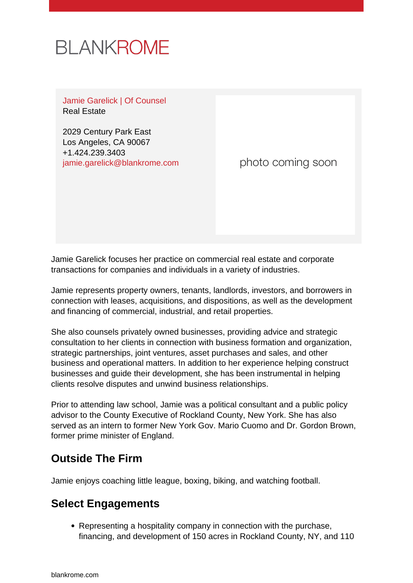

Jamie Garelick | Of Counsel Real Estate

2029 Century Park East Los Angeles, CA 90067 +1.424.239.3403 [jamie.garelick@blankrome.com](mailto:jamie.garelick@blankrome.com)

photo coming soon

Jamie Garelick focuses her practice on commercial real estate and corporate transactions for companies and individuals in a variety of industries.

Jamie represents property owners, tenants, landlords, investors, and borrowers in connection with leases, acquisitions, and dispositions, as well as the development and financing of commercial, industrial, and retail properties.

She also counsels privately owned businesses, providing advice and strategic consultation to her clients in connection with business formation and organization, strategic partnerships, joint ventures, asset purchases and sales, and other business and operational matters. In addition to her experience helping construct businesses and guide their development, she has been instrumental in helping clients resolve disputes and unwind business relationships.

Prior to attending law school, Jamie was a political consultant and a public policy advisor to the County Executive of Rockland County, New York. She has also served as an intern to former New York Gov. Mario Cuomo and Dr. Gordon Brown, former prime minister of England.

## **Outside The Firm**

Jamie enjoys coaching little league, boxing, biking, and watching football.

## **Select Engagements**

• Representing a hospitality company in connection with the purchase, financing, and development of 150 acres in Rockland County, NY, and 110